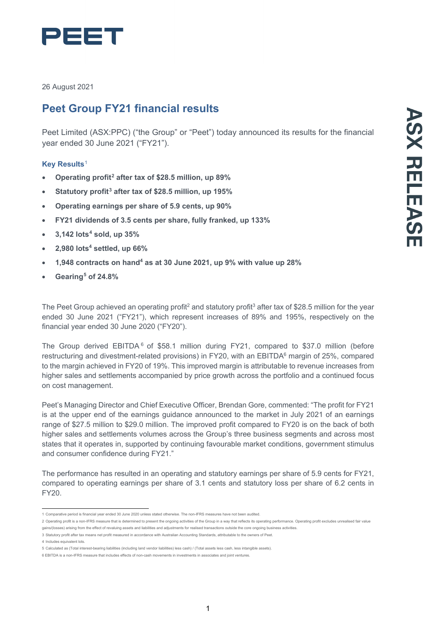

26 August 2021

# **Peet Group FY21 financial results**

Peet Limited (ASX:PPC) ("the Group" or "Peet") today announced its results for the financial year ended 30 June 2021 ("FY21").

# **Key Results**[1](#page-0-0)

- **Operating profit[2](#page-0-1) after tax of \$28.5 million, up 89%**
- **Statutory profit[3](#page-0-2) after tax of \$28.5 million, up 195%**
- **Operating earnings per share of 5.9 cents, up 90%**
- **FY21 dividends of 3.5 cents per share, fully franked, up 133%**
- **3,142 lots[4](#page-0-3) sold, up 35%**
- **2,980 lots4 settled, up 66%**
- **1,948 contracts on hand4 as at 30 June 2021, up 9% with value up 28%**
- **Gearing[5](#page-0-4) of 24.8%**

The Peet Group achieved an operating profit<sup>2</sup> and statutory profit<sup>3</sup> after tax of \$28.5 million for the year ended 30 June 2021 ("FY21"), which represent increases of 89% and 195%, respectively on the financial year ended 30 June 2020 ("FY20").

The Group derived EBITDA $<sup>6</sup>$  $<sup>6</sup>$  $<sup>6</sup>$  of \$58.1 million during FY21, compared to \$37.0 million (before</sup> restructuring and divestment-related provisions) in FY20, with an EBITDA<sup>6</sup> margin of 25%, compared to the margin achieved in FY20 of 19%. This improved margin is attributable to revenue increases from higher sales and settlements accompanied by price growth across the portfolio and a continued focus on cost management.

Peet's Managing Director and Chief Executive Officer, Brendan Gore, commented: "The profit for FY21 is at the upper end of the earnings guidance announced to the market in July 2021 of an earnings range of \$27.5 million to \$29.0 million. The improved profit compared to FY20 is on the back of both higher sales and settlements volumes across the Group's three business segments and across most states that it operates in, supported by continuing favourable market conditions, government stimulus and consumer confidence during FY21."

The performance has resulted in an operating and statutory earnings per share of 5.9 cents for FY21, compared to operating earnings per share of 3.1 cents and statutory loss per share of 6.2 cents in FY20.

<sup>1</sup> Comparative period is financial year ended 30 June 2020 unless stated otherwise. The non-IFRS measures have not been audited.

<span id="page-0-1"></span><span id="page-0-0"></span><sup>2</sup> Operating profit is a non-IFRS measure that is determined to present the ongoing activities of the Group in a way that reflects its operating performance. Operating profit excludes unrealised fair value gains/(losses) arising from the effect of revaluing assets and liabilities and adjustments for realised transactions outside the core ongoing business activities.

<span id="page-0-2"></span><sup>3</sup> Statutory profit after tax means net profit measured in accordance with Australian Accounting Standards, attributable to the owners of Peet.

<span id="page-0-3"></span><sup>4</sup> Includes equivalent lots.

<sup>5</sup> Calculated as (Total interest-bearing liabilities (including land vendor liabilities) less cash) / (Total assets less cash, less intangible assets).

<span id="page-0-5"></span><span id="page-0-4"></span><sup>6</sup> EBITDA is a non-IFRS measure that includes effects of non-cash movements in investments in associates and joint ventures.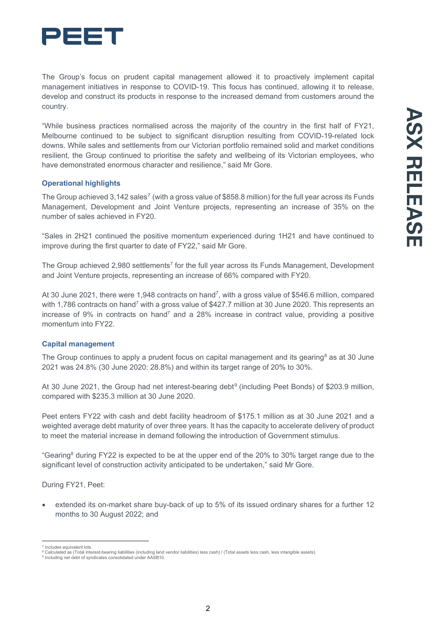

The Group's focus on prudent capital management allowed it to proactively implement capital management initiatives in response to COVID-19. This focus has continued, allowing it to release, develop and construct its products in response to the increased demand from customers around the country.

"While business practices normalised across the majority of the country in the first half of FY21, Melbourne continued to be subject to significant disruption resulting from COVID-19-related lock downs. While sales and settlements from our Victorian portfolio remained solid and market conditions resilient, the Group continued to prioritise the safety and wellbeing of its Victorian employees, who have demonstrated enormous character and resilience," said Mr Gore.

# **Operational highlights**

The Group achieved 3,142 sales<sup>[7](#page-1-0)</sup> (with a gross value of \$858.8 million) for the full year across its Funds Management, Development and Joint Venture projects, representing an increase of 35% on the number of sales achieved in FY20.

"Sales in 2H21 continued the positive momentum experienced during 1H21 and have continued to improve during the first quarter to date of FY22," said Mr Gore.

The Group achieved 2,980 settlements<sup>7</sup> for the full year across its Funds Management, Development and Joint Venture projects, representing an increase of 66% compared with FY20.

At 30 June 2021, there were 1,948 contracts on hand<sup>7</sup>, with a gross value of \$546.6 million, compared with 1,786 contracts on hand<sup>7</sup> with a gross value of \$427.7 million at 30 June 2020. This represents an increase of 9% in contracts on hand<sup>7</sup> and a 28% increase in contract value, providing a positive momentum into FY22.

# **Capital management**

The Group continues to apply a prudent focus on capital management and its gearing<sup>[8](#page-1-1)</sup> as at 30 June 2021 was 24.8% (30 June 2020: 28.8%) and within its target range of 20% to 30%.

At 30 June 2021, the Group had net interest-bearing debt<sup>[9](#page-1-2)</sup> (including Peet Bonds) of \$203.9 million, compared with \$235.3 million at 30 June 2020.

Peet enters FY22 with cash and debt facility headroom of \$175.1 million as at 30 June 2021 and a weighted average debt maturity of over three years. It has the capacity to accelerate delivery of product to meet the material increase in demand following the introduction of Government stimulus.

"Gearing<sup>8</sup> during FY22 is expected to be at the upper end of the 20% to 30% target range due to the significant level of construction activity anticipated to be undertaken," said Mr Gore.

During FY21, Peet:

extended its on-market share buy-back of up to 5% of its issued ordinary shares for a further 12 months to 30 August 2022; and

<span id="page-1-1"></span><span id="page-1-0"></span><sup>&</sup>lt;sup>7</sup> Includes equivalent lots.<br><sup>8</sup> Calculated as (Total interest-bearing liabilities (including land vendor liabilities) less cash) / (Total assets less cash, less intangible assets).<br><sup>9</sup> Including net debt of syndicates c

<span id="page-1-2"></span>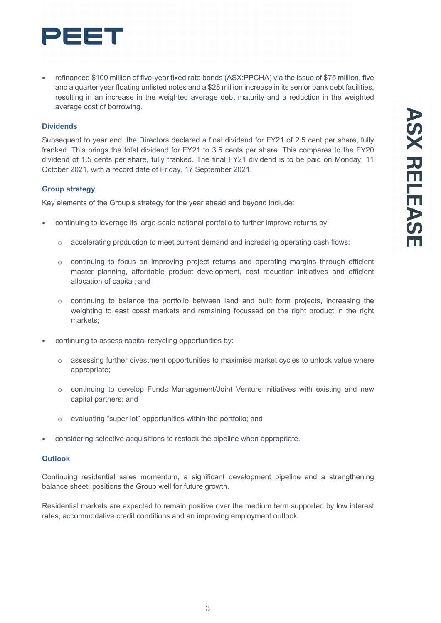

• refinanced \$100 million of five-year fixed rate bonds (ASX:PPCHA) via the issue of \$75 million, five and a quarter year floating unlisted notes and a \$25 million increase in its senior bank debt facilities, resulting in an increase in the weighted average debt maturity and a reduction in the weighted average cost of borrowing.

### **Dividends**

Subsequent to year end, the Directors declared a final dividend for FY21 of 2.5 cent per share, fully franked. This brings the total dividend for FY21 to 3.5 cents per share. This compares to the FY20 dividend of 1.5 cents per share, fully franked. The final FY21 dividend is to be paid on Monday, 11 October 2021, with a record date of Friday, 17 September 2021.

#### **Group strategy**

Key elements of the Group's strategy for the year ahead and beyond include:

- continuing to leverage its large-scale national portfolio to further improve returns by:
	- o accelerating production to meet current demand and increasing operating cash flows;
	- o continuing to focus on improving project returns and operating margins through efficient master planning, affordable product development, cost reduction initiatives and efficient allocation of capital; and
	- o continuing to balance the portfolio between land and built form projects, increasing the weighting to east coast markets and remaining focussed on the right product in the right markets;
- continuing to assess capital recycling opportunities by:
	- $\circ$  assessing further divestment opportunities to maximise market cycles to unlock value where appropriate;
	- o continuing to develop Funds Management/Joint Venture initiatives with existing and new capital partners; and
	- o evaluating "super lot" opportunities within the portfolio; and
- considering selective acquisitions to restock the pipeline when appropriate.

### **Outlook**

Continuing residential sales momentum, a significant development pipeline and a strengthening balance sheet, positions the Group well for future growth.

Residential markets are expected to remain positive over the medium term supported by low interest rates, accommodative credit conditions and an improving employment outlook.